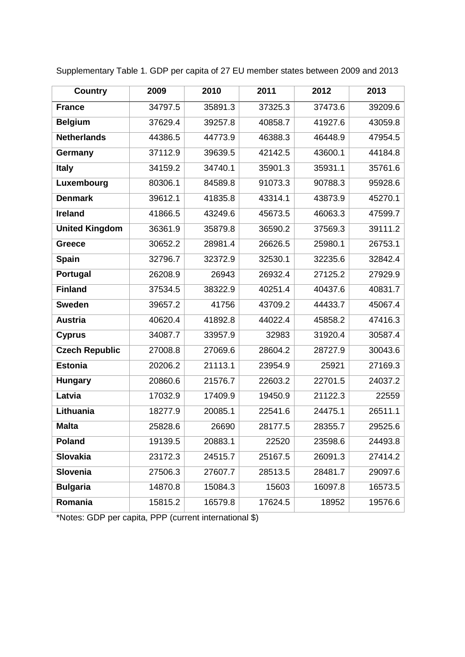| <b>Country</b>        | 2009    | 2010    | 2011    | 2012    | 2013    |
|-----------------------|---------|---------|---------|---------|---------|
| <b>France</b>         | 34797.5 | 35891.3 | 37325.3 | 37473.6 | 39209.6 |
| <b>Belgium</b>        | 37629.4 | 39257.8 | 40858.7 | 41927.6 | 43059.8 |
| <b>Netherlands</b>    | 44386.5 | 44773.9 | 46388.3 | 46448.9 | 47954.5 |
| Germany               | 37112.9 | 39639.5 | 42142.5 | 43600.1 | 44184.8 |
| <b>Italy</b>          | 34159.2 | 34740.1 | 35901.3 | 35931.1 | 35761.6 |
| Luxembourg            | 80306.1 | 84589.8 | 91073.3 | 90788.3 | 95928.6 |
| <b>Denmark</b>        | 39612.1 | 41835.8 | 43314.1 | 43873.9 | 45270.1 |
| <b>Ireland</b>        | 41866.5 | 43249.6 | 45673.5 | 46063.3 | 47599.7 |
| <b>United Kingdom</b> | 36361.9 | 35879.8 | 36590.2 | 37569.3 | 39111.2 |
| <b>Greece</b>         | 30652.2 | 28981.4 | 26626.5 | 25980.1 | 26753.1 |
| <b>Spain</b>          | 32796.7 | 32372.9 | 32530.1 | 32235.6 | 32842.4 |
| Portugal              | 26208.9 | 26943   | 26932.4 | 27125.2 | 27929.9 |
| <b>Finland</b>        | 37534.5 | 38322.9 | 40251.4 | 40437.6 | 40831.7 |
| <b>Sweden</b>         | 39657.2 | 41756   | 43709.2 | 44433.7 | 45067.4 |
| <b>Austria</b>        | 40620.4 | 41892.8 | 44022.4 | 45858.2 | 47416.3 |
| <b>Cyprus</b>         | 34087.7 | 33957.9 | 32983   | 31920.4 | 30587.4 |
| <b>Czech Republic</b> | 27008.8 | 27069.6 | 28604.2 | 28727.9 | 30043.6 |
| <b>Estonia</b>        | 20206.2 | 21113.1 | 23954.9 | 25921   | 27169.3 |
| <b>Hungary</b>        | 20860.6 | 21576.7 | 22603.2 | 22701.5 | 24037.2 |
| Latvia                | 17032.9 | 17409.9 | 19450.9 | 21122.3 | 22559   |
| Lithuania             | 18277.9 | 20085.1 | 22541.6 | 24475.1 | 26511.1 |
| <b>Malta</b>          | 25828.6 | 26690   | 28177.5 | 28355.7 | 29525.6 |
| Poland                | 19139.5 | 20883.1 | 22520   | 23598.6 | 24493.8 |
| Slovakia              | 23172.3 | 24515.7 | 25167.5 | 26091.3 | 27414.2 |
| <b>Slovenia</b>       | 27506.3 | 27607.7 | 28513.5 | 28481.7 | 29097.6 |
| <b>Bulgaria</b>       | 14870.8 | 15084.3 | 15603   | 16097.8 | 16573.5 |
| Romania               | 15815.2 | 16579.8 | 17624.5 | 18952   | 19576.6 |

Supplementary Table 1. GDP per capita of 27 EU member states between 2009 and 2013

\*Notes: GDP per capita, PPP (current international \$)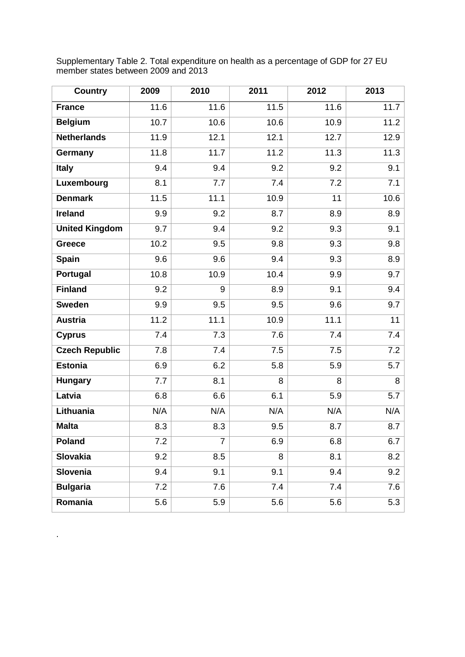| <b>Country</b>        | 2009 | 2010 | 2011 | 2012 | 2013 |
|-----------------------|------|------|------|------|------|
| <b>France</b>         | 11.6 | 11.6 | 11.5 | 11.6 | 11.7 |
| <b>Belgium</b>        | 10.7 | 10.6 | 10.6 | 10.9 | 11.2 |
| <b>Netherlands</b>    | 11.9 | 12.1 | 12.1 | 12.7 | 12.9 |
| Germany               | 11.8 | 11.7 | 11.2 | 11.3 | 11.3 |
| <b>Italy</b>          | 9.4  | 9.4  | 9.2  | 9.2  | 9.1  |
| Luxembourg            | 8.1  | 7.7  | 7.4  | 7.2  | 7.1  |
| <b>Denmark</b>        | 11.5 | 11.1 | 10.9 | 11   | 10.6 |
| Ireland               | 9.9  | 9.2  | 8.7  | 8.9  | 8.9  |
| <b>United Kingdom</b> | 9.7  | 9.4  | 9.2  | 9.3  | 9.1  |
| <b>Greece</b>         | 10.2 | 9.5  | 9.8  | 9.3  | 9.8  |
| <b>Spain</b>          | 9.6  | 9.6  | 9.4  | 9.3  | 8.9  |
| Portugal              | 10.8 | 10.9 | 10.4 | 9.9  | 9.7  |
| <b>Finland</b>        | 9.2  | 9    | 8.9  | 9.1  | 9.4  |
| <b>Sweden</b>         | 9.9  | 9.5  | 9.5  | 9.6  | 9.7  |
| <b>Austria</b>        | 11.2 | 11.1 | 10.9 | 11.1 | 11   |
| <b>Cyprus</b>         | 7.4  | 7.3  | 7.6  | 7.4  | 7.4  |
| <b>Czech Republic</b> | 7.8  | 7.4  | 7.5  | 7.5  | 7.2  |
| <b>Estonia</b>        | 6.9  | 6.2  | 5.8  | 5.9  | 5.7  |
| <b>Hungary</b>        | 7.7  | 8.1  | 8    | 8    | 8    |
| Latvia                | 6.8  | 6.6  | 6.1  | 5.9  | 5.7  |
| Lithuania             | N/A  | N/A  | N/A  | N/A  | N/A  |
| <b>Malta</b>          | 8.3  | 8.3  | 9.5  | 8.7  | 8.7  |
| <b>Poland</b>         | 7.2  | 7    | 6.9  | 6.8  | 6.7  |
| <b>Slovakia</b>       | 9.2  | 8.5  | 8    | 8.1  | 8.2  |
| <b>Slovenia</b>       | 9.4  | 9.1  | 9.1  | 9.4  | 9.2  |
| <b>Bulgaria</b>       | 7.2  | 7.6  | 7.4  | 7.4  | 7.6  |
| Romania               | 5.6  | 5.9  | 5.6  | 5.6  | 5.3  |

.

Supplementary Table 2. Total expenditure on health as a percentage of GDP for 27 EU member states between 2009 and 2013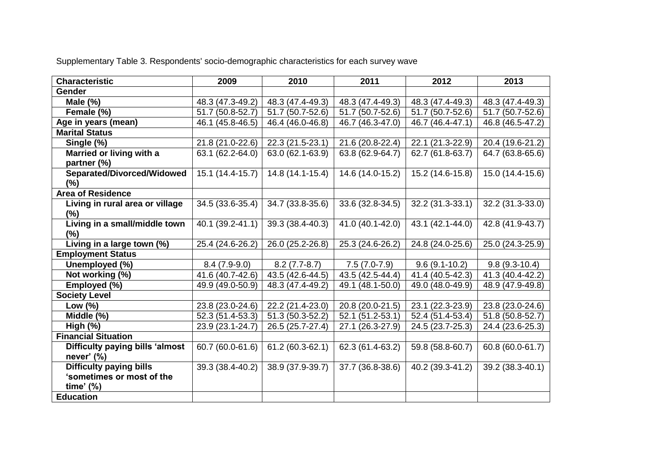Supplementary Table 3. Respondents' socio-demographic characteristics for each survey wave

| <b>Characteristic</b>           | 2009             | 2010             | 2011             | 2012             | 2013             |
|---------------------------------|------------------|------------------|------------------|------------------|------------------|
| <b>Gender</b>                   |                  |                  |                  |                  |                  |
| Male $(\%)$                     | 48.3 (47.3-49.2) | 48.3 (47.4-49.3) | 48.3 (47.4-49.3) | 48.3 (47.4-49.3) | 48.3 (47.4-49.3) |
| Female (%)                      | 51.7 (50.8-52.7) | 51.7 (50.7-52.6) | 51.7 (50.7-52.6) | 51.7 (50.7-52.6) | 51.7 (50.7-52.6) |
| Age in years (mean)             | 46.1 (45.8-46.5) | 46.4 (46.0-46.8) | 46.7 (46.3-47.0) | 46.7 (46.4-47.1) | 46.8 (46.5-47.2) |
| <b>Marital Status</b>           |                  |                  |                  |                  |                  |
| Single (%)                      | 21.8 (21.0-22.6) | 22.3 (21.5-23.1) | 21.6 (20.8-22.4) | 22.1 (21.3-22.9) | 20.4 (19.6-21.2) |
| Married or living with a        | 63.1 (62.2-64.0) | 63.0 (62.1-63.9) | 63.8 (62.9-64.7) | 62.7 (61.8-63.7) | 64.7 (63.8-65.6) |
| partner (%)                     |                  |                  |                  |                  |                  |
| Separated/Divorced/Widowed      | 15.1 (14.4-15.7) | 14.8 (14.1-15.4) | 14.6 (14.0-15.2) | 15.2 (14.6-15.8) | 15.0 (14.4-15.6) |
| (%)                             |                  |                  |                  |                  |                  |
| <b>Area of Residence</b>        |                  |                  |                  |                  |                  |
| Living in rural area or village | 34.5 (33.6-35.4) | 34.7 (33.8-35.6) | 33.6 (32.8-34.5) | 32.2 (31.3-33.1) | 32.2 (31.3-33.0) |
| (%)                             |                  |                  |                  |                  |                  |
| Living in a small/middle town   | 40.1 (39.2-41.1) | 39.3 (38.4-40.3) | 41.0 (40.1-42.0) | 43.1 (42.1-44.0) | 42.8 (41.9-43.7) |
| (%)                             |                  |                  |                  |                  |                  |
| Living in a large town (%)      | 25.4 (24.6-26.2) | 26.0 (25.2-26.8) | 25.3 (24.6-26.2) | 24.8 (24.0-25.6) | 25.0 (24.3-25.9) |
| <b>Employment Status</b>        |                  |                  |                  |                  |                  |
| Unemployed (%)                  | $8.4(7.9-9.0)$   | $8.2(7.7-8.7)$   | $7.5(7.0-7.9)$   | $9.6(9.1-10.2)$  | $9.8(9.3-10.4)$  |
| Not working (%)                 | 41.6 (40.7-42.6) | 43.5 (42.6-44.5) | 43.5 (42.5-44.4) | 41.4 (40.5-42.3) | 41.3 (40.4-42.2) |
| Employed (%)                    | 49.9 (49.0-50.9) | 48.3 (47.4-49.2) | 49.1 (48.1-50.0) | 49.0 (48.0-49.9) | 48.9 (47.9-49.8) |
| <b>Society Level</b>            |                  |                  |                  |                  |                  |
| Low $(\%)$                      | 23.8 (23.0-24.6) | 22.2 (21.4-23.0) | 20.8 (20.0-21.5) | 23.1 (22.3-23.9) | 23.8 (23.0-24.6) |
| Middle (%)                      | 52.3 (51.4-53.3) | 51.3 (50.3-52.2) | 52.1 (51.2-53.1) | 52.4 (51.4-53.4) | 51.8 (50.8-52.7) |
| High $(\%)$                     | 23.9 (23.1-24.7) | 26.5 (25.7-27.4) | 27.1 (26.3-27.9) | 24.5 (23.7-25.3) | 24.4 (23.6-25.3) |
| <b>Financial Situation</b>      |                  |                  |                  |                  |                  |
| Difficulty paying bills 'almost | 60.7 (60.0-61.6) | 61.2 (60.3-62.1) | 62.3 (61.4-63.2) | 59.8 (58.8-60.7) | 60.8 (60.0-61.7) |
| never' $(\%)$                   |                  |                  |                  |                  |                  |
| <b>Difficulty paying bills</b>  | 39.3 (38.4-40.2) | 38.9 (37.9-39.7) | 37.7 (36.8-38.6) | 40.2 (39.3-41.2) | 39.2 (38.3-40.1) |
| 'sometimes or most of the       |                  |                  |                  |                  |                  |
| time' $(\%)$                    |                  |                  |                  |                  |                  |
| <b>Education</b>                |                  |                  |                  |                  |                  |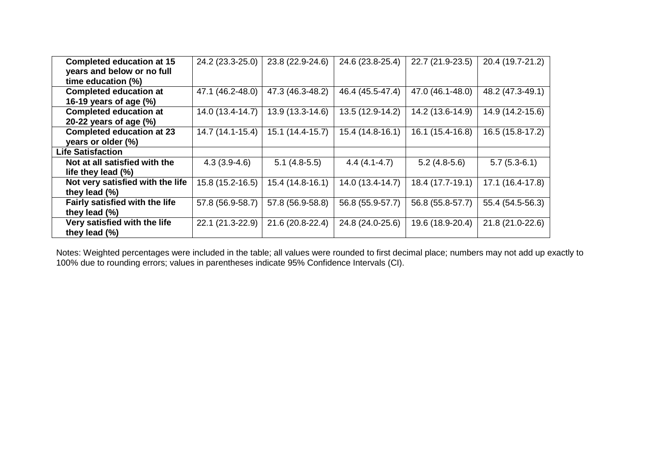| <b>Completed education at 15</b> | 24.2 (23.3-25.0) | 23.8 (22.9-24.6) | 24.6 (23.8-25.4) | 22.7 (21.9-23.5) | 20.4 (19.7-21.2) |
|----------------------------------|------------------|------------------|------------------|------------------|------------------|
| years and below or no full       |                  |                  |                  |                  |                  |
| time education (%)               |                  |                  |                  |                  |                  |
| <b>Completed education at</b>    | 47.1 (46.2-48.0) | 47.3 (46.3-48.2) | 46.4 (45.5-47.4) | 47.0 (46.1-48.0) | 48.2 (47.3-49.1) |
| 16-19 years of age $(\%)$        |                  |                  |                  |                  |                  |
| <b>Completed education at</b>    | 14.0 (13.4-14.7) | 13.9 (13.3-14.6) | 13.5 (12.9-14.2) | 14.2 (13.6-14.9) | 14.9 (14.2-15.6) |
| 20-22 years of age $(\%)$        |                  |                  |                  |                  |                  |
| <b>Completed education at 23</b> | 14.7 (14.1-15.4) | 15.1 (14.4-15.7) | 15.4 (14.8-16.1) | 16.1 (15.4-16.8) | 16.5 (15.8-17.2) |
| years or older (%)               |                  |                  |                  |                  |                  |
| <b>Life Satisfaction</b>         |                  |                  |                  |                  |                  |
| Not at all satisfied with the    | $4.3(3.9-4.6)$   | $5.1(4.8-5.5)$   | $4.4(4.1-4.7)$   | $5.2(4.8-5.6)$   | $5.7(5.3-6.1)$   |
| life they lead (%)               |                  |                  |                  |                  |                  |
| Not very satisfied with the life | 15.8 (15.2-16.5) | 15.4 (14.8-16.1) | 14.0 (13.4-14.7) | 18.4 (17.7-19.1) | 17.1 (16.4-17.8) |
| they lead $(\%)$                 |                  |                  |                  |                  |                  |
| Fairly satisfied with the life   | 57.8 (56.9-58.7) | 57.8 (56.9-58.8) | 56.8 (55.9-57.7) | 56.8 (55.8-57.7) | 55.4 (54.5-56.3) |
| they lead $(\%)$                 |                  |                  |                  |                  |                  |
| Very satisfied with the life     | 22.1 (21.3-22.9) | 21.6 (20.8-22.4) | 24.8 (24.0-25.6) | 19.6 (18.9-20.4) | 21.8 (21.0-22.6) |
| they lead $(\%)$                 |                  |                  |                  |                  |                  |

Notes: Weighted percentages were included in the table; all values were rounded to first decimal place; numbers may not add up exactly to 100% due to rounding errors; values in parentheses indicate 95% Confidence Intervals (CI).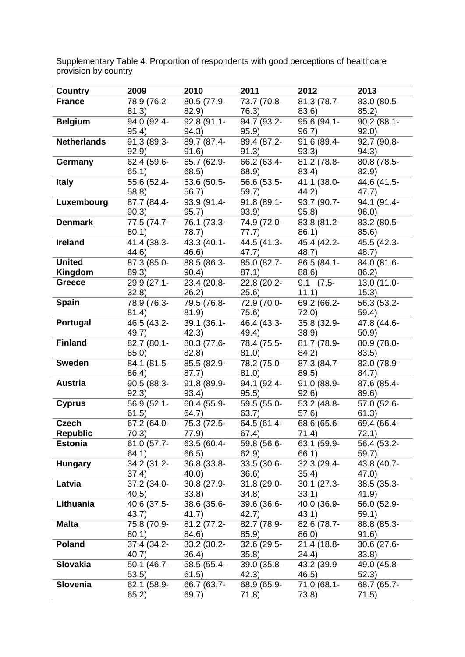| Country            | 2009 — 2009 — 2009 — 2009 — 2009 — 2009 — 2009 — 2009 — 2009 — 2009 — 2009 — 2009 — 2009 — 2009 — 2009 — 2009 — 2009 — 2009 — 2009 — 2009 — 2009 — 2009 — 2009 — 2009 — 2009 — 2009 — 2009 — 2009 — 2009 — 2009 — 2009 — 2009 — | 2010 720                        | 2011 2012                           | 2012                      | 2013                   |
|--------------------|---------------------------------------------------------------------------------------------------------------------------------------------------------------------------------------------------------------------------------|---------------------------------|-------------------------------------|---------------------------|------------------------|
| <b>France</b>      | 78.9 (76.2-                                                                                                                                                                                                                     | 80.5 (77.9-                     | 73.7 (70.8-                         | 81.3 (78.7-               | 83.0 (80.5-            |
|                    | 81.3)                                                                                                                                                                                                                           | 82.9)                           | 76.3)                               | 83.6)                     | 85.2                   |
| Belgium            | 94.0 (92.4-                                                                                                                                                                                                                     | 92.8 (91.1-                     | 94.7 (93.2-                         | 95.6 (94.1-               | 90.2 (88.1-            |
|                    | 95.4)                                                                                                                                                                                                                           | 94.3)                           | 95.9)                               | 96.7)                     | 92.0)                  |
| <b>Netherlands</b> | 91.3 (89.3-                                                                                                                                                                                                                     | 89.7 (87.4-                     | 89.4 (87.2-                         | 91.6 (89.4-               | 92.7 (90.8-            |
|                    | 92.9)                                                                                                                                                                                                                           | (91.6)                          | (91.3)                              | 93.3)                     | 94.3)                  |
| Germany            | 62.4 (59.6-                                                                                                                                                                                                                     | 65.7 (62.9-                     | $66.2(63.4-$                        | 81.2 (78.8-               | 80.8 (78.5-            |
|                    | 65.1)                                                                                                                                                                                                                           | 68.5)                           | 68.9)                               | 83.4)                     | 82.9)                  |
| <b>Italy</b>       | 55.6 (52.4-                                                                                                                                                                                                                     | 53.6 (50.5-                     | 56.6 (53.5-                         | 41.1 (38.0-               | 44.6 (41.5-            |
|                    | 58.8)                                                                                                                                                                                                                           | 56.7)                           | 59.7)                               | 44.2)                     | 47.7)                  |
| Luxembourg         | 87.7 (84.4-                                                                                                                                                                                                                     | 93.9 (91.4-                     | 91.8 (89.1-<br>93.9)                | 93.7 (90.7-<br>95.8)      | 94.1 (91.4-<br>96.0)   |
| <b>Denmark</b>     |                                                                                                                                                                                                                                 | $(90.3)$ $(95.7)$               | 77.5 (74.7- 76.1 (73.3- 74.9 (72.0- | 83.8 (81.2-               | 83.2 (80.5-            |
|                    |                                                                                                                                                                                                                                 | 80.1) 78.7)                     | (77.7)                              | 86.1)                     | 85.6)                  |
| Ireland            | 41.4 (38.3-                                                                                                                                                                                                                     | $43.3(40.1-$                    |                                     | $44.5(41.3 - 45.4(42.2 -$ | 45.5 (42.3-            |
|                    | 44.6)                                                                                                                                                                                                                           | 46.6)                           | 47.7)                               | 48.7)                     | 48.7)                  |
| <b>United</b>      | 87.3 (85.0-                                                                                                                                                                                                                     | 88.5 (86.3-                     | 85.0 (82.7-                         | 86.5 (84.1-               | 84.0 (81.6-            |
| Kingdom            | 89.3)                                                                                                                                                                                                                           | 90.4)                           | 87.1)                               | 88.6)                     | 86.2)                  |
| <b>Greece</b>      |                                                                                                                                                                                                                                 | 29.9 (27.1- 23.4 (20.8-         | 22.8 (20.2-                         | $9.1 \quad (7.5 -$        | 13.0 (11.0-            |
|                    | (32.8)                                                                                                                                                                                                                          | (26.2)                          | (25.6)                              | (11.1)                    | 15.3)                  |
| <b>Spain</b>       | 78.9 (76.3-                                                                                                                                                                                                                     | 79.5 (76.8-                     | 72.9 (70.0-                         | 69.2 (66.2-               | 56.3 (53.2-            |
|                    | 81.4)                                                                                                                                                                                                                           | 81.9)                           | 75.6)                               | 72.0)                     | 59.4)                  |
| Portugal           |                                                                                                                                                                                                                                 | 46.5 (43.2- 39.1 (36.1-         | 46.4 (43.3-                         | 35.8 (32.9-               | 47.8 (44.6-            |
|                    |                                                                                                                                                                                                                                 | 49.7) 42.3)                     | 49.4)                               | (38.9)                    | 50.9)                  |
| <b>Finland</b>     |                                                                                                                                                                                                                                 | 82.7 (80.1- 80.3 (77.6-         | 78.4 (75.5-                         | 81.7 (78.9-               | 80.9 (78.0-            |
|                    |                                                                                                                                                                                                                                 | 85.0) 82.8)                     | 81.0)                               | 84.2)                     | 83.5)                  |
| <b>Sweden</b>      |                                                                                                                                                                                                                                 | 84.1 (81.5- 85.5 (82.9-         | 78.2 (75.0-                         | 87.3 (84.7-               | 82.0 (78.9-            |
| <b>Austria</b>     | 86.4)                                                                                                                                                                                                                           |                                 | 81.0)                               | 89.5)                     | 84.7)                  |
|                    | 92.3)                                                                                                                                                                                                                           | 90.5 (88.3-91.8 (89.9-<br>93.4) | 94.1 (92.4-<br>95.5)                | 91.0 (88.9-<br>92.6)      | 87.6 (85.4-<br>89.6)   |
| <b>Cyprus</b>      |                                                                                                                                                                                                                                 | 56.9 (52.1- 60.4 (55.9-         | 59.5 (55.0-                         | 53.2 (48.8-               | $57.0(52.6 -$          |
|                    | 61.5)                                                                                                                                                                                                                           | 64.7)                           | 63.7)                               | 57.6)                     | 61.3)                  |
| <b>Czech</b>       |                                                                                                                                                                                                                                 | 67.2 (64.0- 75.3 (72.5-         | 64.5 (61.4-                         | 68.6 (65.6-               | 69.4 (66.4-            |
| Republic           |                                                                                                                                                                                                                                 |                                 |                                     | 70.3) 77.9) 67.4) 71.4)   | 72.1)                  |
| <b>Estonia</b>     | 61.0 (57.7-                                                                                                                                                                                                                     | 63.5 (60.4-                     | 59.8 (56.6-                         | 63.1 (59.9-               | 56.4 (53.2-            |
|                    | 64.1)                                                                                                                                                                                                                           | 66.5)                           | 62.9)                               | 66.1)                     | 59.7)                  |
| <b>Hungary</b>     | 34.2 (31.2-                                                                                                                                                                                                                     | 36.8 (33.8-                     | 33.5 (30.6-                         | 32.3 (29.4-               | 43.8 (40.7-            |
|                    | 37.4)                                                                                                                                                                                                                           | 40.0)                           | 36.6)                               | 35.4)                     | 47.0)                  |
| Latvia             | 37.2 (34.0-                                                                                                                                                                                                                     | 30.8 (27.9-                     | 31.8 (29.0-                         | $30.1(27.3-$              | $38.5(35.3 -$          |
|                    | 40.5)                                                                                                                                                                                                                           | 33.8)                           | 34.8)                               | 33.1)                     | 41.9)                  |
| Lithuania          | 40.6 (37.5-                                                                                                                                                                                                                     | 38.6 (35.6-                     | 39.6 (36.6-                         | 40.0 (36.9-               | 56.0 (52.9-            |
|                    | 43.7)                                                                                                                                                                                                                           | 41.7)                           | 42.7)                               | 43.1)                     | 59.1)                  |
| <b>Malta</b>       | 75.8 (70.9-                                                                                                                                                                                                                     | 81.2 (77.2-                     | 82.7 (78.9-<br>85.9)                | 82.6 (78.7-               | 88.8 (85.3-            |
| <b>Poland</b>      | 80.1)<br>37.4 (34.2-                                                                                                                                                                                                            | 84.6)<br>33.2 (30.2-            | 32.6 (29.5-                         | 86.0)<br>21.4 (18.8-      | 91.6)<br>$30.6(27.6 -$ |
|                    | 40.7)                                                                                                                                                                                                                           | 36.4)                           | 35.8)                               | 24.4)                     | 33.8)                  |
| Slovakia           | 50.1 (46.7-                                                                                                                                                                                                                     | 58.5 (55.4-                     | 39.0 (35.8-                         | 43.2 (39.9-               | 49.0 (45.8-            |
|                    | 53.5)                                                                                                                                                                                                                           | 61.5)                           | 42.3)                               | 46.5)                     | 52.3)                  |
| Slovenia           | 62.1 (58.9-                                                                                                                                                                                                                     | 66.7 (63.7-                     | 68.9 (65.9-                         | 71.0 (68.1-               | 68.7 (65.7-            |
|                    | 65.2)                                                                                                                                                                                                                           | 69.7)                           | 71.8)                               | 73.8)                     | 71.5)                  |

Supplementary Table 4. Proportion of respondents with good perceptions of healthcare provision by country